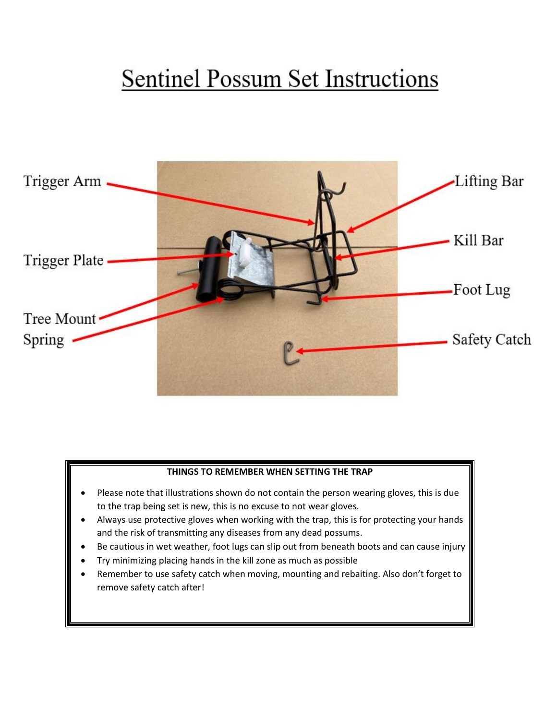## **Sentinel Possum Set Instructions**



## **THINGS TO REMEMBER WHEN SETTING THE TRAP**

- Please note that illustrations shown do not contain the person wearing gloves, this is due to the trap being set is new, this is no excuse to not wear gloves.
- Always use protective gloves when working with the trap, this is for protecting your hands and the risk of transmitting any diseases from any dead possums.
- Be cautious in wet weather, foot lugs can slip out from beneath boots and can cause injury
- Try minimizing placing hands in the kill zone as much as possible
- Remember to use safety catch when moving, mounting and rebaiting. Also don't forget to remove safety catch after!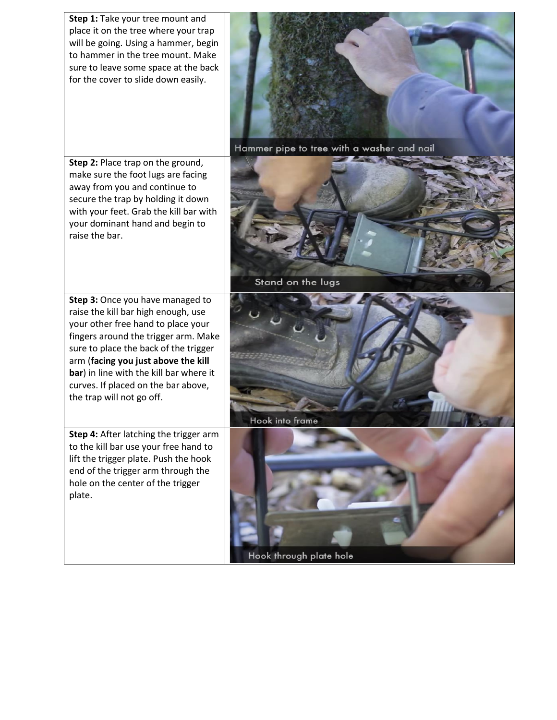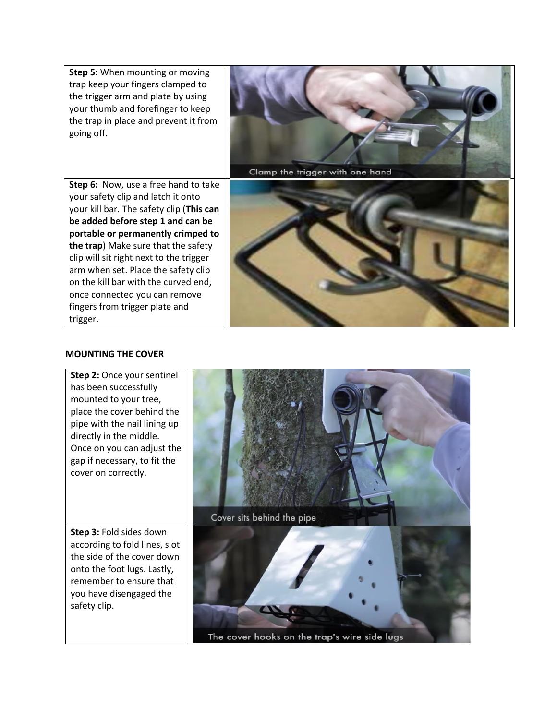**Step 5:** When mounting or moving trap keep your fingers clamped to the trigger arm and plate by using your thumb and forefinger to keep the trap in place and prevent it from going off.

**Step 6:** Now, use a free hand to take your safety clip and latch it onto your kill bar. The safety clip (**This can be added before step 1 and can be portable or permanently crimped to the trap**) Make sure that the safety clip will sit right next to the trigger arm when set. Place the safety clip on the kill bar with the curved end, once connected you can remove fingers from trigger plate and trigger.



## **MOUNTING THE COVER**

**Step 2:** Once your sentinel has been successfully mounted to your tree, place the cover behind the pipe with the nail lining up directly in the middle. Once on you can adjust the gap if necessary, to fit the cover on correctly.

**Step 3:** Fold sides down according to fold lines, slot the side of the cover down onto the foot lugs. Lastly, remember to ensure that you have disengaged the safety clip.